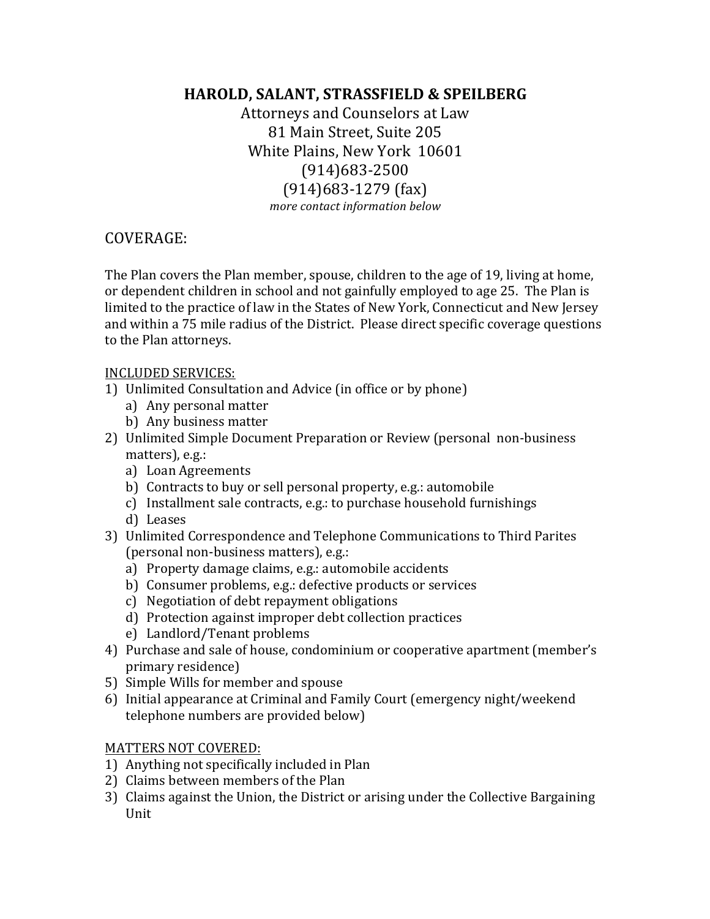# **HAROLD, SALANT, STRASSFIELD & SPEILBERG**

Attorneys and Counselors at Law 81 Main Street, Suite 205 White Plains, New York 10601 (914)683-2500  $(914)683-1279$  (fax) *more contact information below* 

## COVERAGE:

The Plan covers the Plan member, spouse, children to the age of 19, living at home, or dependent children in school and not gainfully employed to age 25. The Plan is limited to the practice of law in the States of New York, Connecticut and New Jersey and within a 75 mile radius of the District. Please direct specific coverage questions to the Plan attorneys.

### INCLUDED SERVICES:

- 1) Unlimited Consultation and Advice (in office or by phone)
	- a) Any personal matter
	- b) Any business matter
- 2) Unlimited Simple Document Preparation or Review (personal non-business matters), e.g.:
	- a) Loan Agreements
	- b) Contracts to buy or sell personal property, e.g.: automobile
	- c) Installment sale contracts, e.g.: to purchase household furnishings
	- d) Leases
- 3) Unlimited Correspondence and Telephone Communications to Third Parites (personal non-business matters), e.g.:
	- a) Property damage claims, e.g.: automobile accidents
	- b) Consumer problems, e.g.: defective products or services
	- c) Negotiation of debt repayment obligations
	- d) Protection against improper debt collection practices
	- e) Landlord/Tenant problems
- 4) Purchase and sale of house, condominium or cooperative apartment (member's primary residence)
- 5) Simple Wills for member and spouse
- 6) Initial appearance at Criminal and Family Court (emergency night/weekend telephone numbers are provided below)

#### MATTERS NOT COVERED:

- 1) Anything not specifically included in Plan
- 2) Claims between members of the Plan
- 3) Claims against the Union, the District or arising under the Collective Bargaining Unit